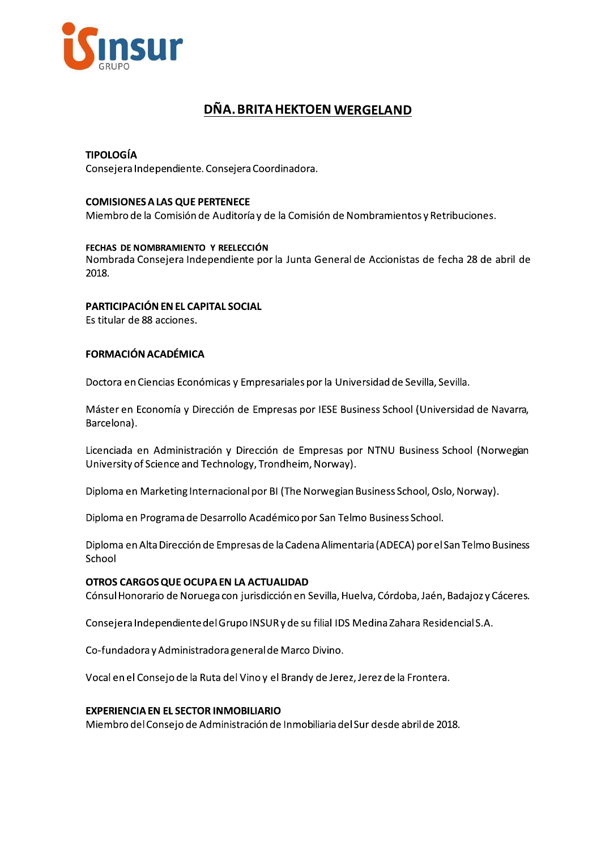

# DÑA. BRITA HEKTOEN WERGELAND

# **TIPOLOGÍA**

Consejera Independiente. Consejera Coordinadora.

#### **COMISIONES A LAS QUE PERTENECE**

Miembro de la Comisión de Auditoría y de la Comisión de Nombramientos y Retribuciones.

#### FECHAS DE NOMBRAMIENTO Y REELECCIÓN

Nombrada Consejera Independiente por la Junta General de Accionistas de fecha 28 de abril de 2018.

## PARTICIPACIÓN EN EL CAPITAL SOCIAL

Es titular de 88 acciones.

## **FORMACIÓN ACADÉMICA**

Doctora en Ciencias Económicas y Empresariales por la Universidad de Sevilla, Sevilla.

Máster en Economía y Dirección de Empresas por IESE Business School (Universidad de Navarra, Barcelona).

Licenciada en Administración y Dirección de Empresas por NTNU Business School (Norwegian University of Science and Technology, Trondheim, Norway).

Diploma en Marketing Internacional por BI (The Norwegian Business School, Oslo, Norway).

Diploma en Programa de Desarrollo Académico por San Telmo Business School.

Diploma en Alta Dirección de Empresas de la Cadena Alimentaria (ADECA) por el San Telmo Business School

#### OTROS CARGOS QUE OCUPA EN LA ACTUALIDAD

Cónsul Honorario de Noruega con jurisdicción en Sevilla, Huelva, Córdoba, Jaén, Badajoz y Cáceres.

Consejera Independiente del Grupo INSUR y de su filial IDS Medina Zahara Residencial S.A.

Co-fundadora y Administradora general de Marco Divino.

Vocal en el Consejo de la Ruta del Vino y el Brandy de Jerez, Jerez de la Frontera.

#### **EXPERIENCIA EN EL SECTOR INMOBILIARIO**

Miembro del Consejo de Administración de Inmobiliaria del Sur desde abril de 2018.